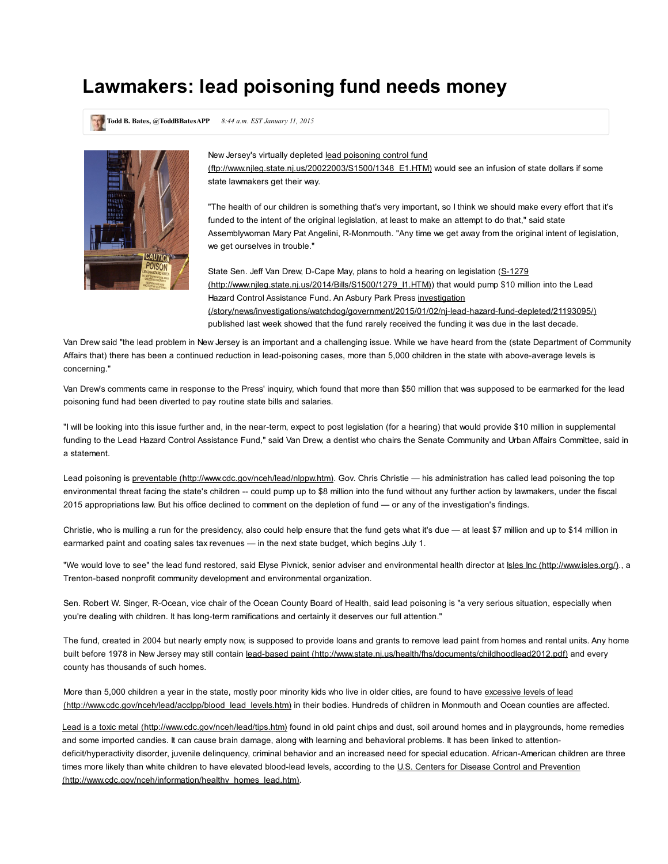## Lawmakers: lead poisoning fund needs money

Todd B. Bates, @ToddBBatesAPP 8:44 a.m. EST January 11, 2015



New Jersey's virtually depleted lead poisoning control fund (ftp://www.njleg.state.nj.us/20022003/S1500/1348\_E1.HTM) would see an infusion of state dollars if some state lawmakers get their way.

"The health of our children is something that's very important, so I think we should make every effort that it's funded to the intent of the original legislation, at least to make an attempt to do that," said state Assemblywoman Mary Pat Angelini, R-Monmouth. "Any time we get away from the original intent of legislation, we get ourselves in trouble."

State Sen. Jeff Van Drew, D-Cape May, plans to hold a hearing on legislation (S-1279 (http://www.njleg.state.nj.us/2014/Bills/S1500/1279\_I1.HTM)) that would pump \$10 million into the Lead Hazard Control Assistance Fund. An Asbury Park Press investigation (/story/news/investigations/watchdog/government/2015/01/02/nj-lead-hazard-fund-depleted/21193095/) published last week showed that the fund rarely received the funding it was due in the last decade.

Van Drew said "the lead problem in New Jersey is an important and a challenging issue. While we have heard from the (state Department of Community Affairs that) there has been a continued reduction in lead-poisoning cases, more than 5,000 children in the state with above-average levels is concerning."

Van Drew's comments came in response to the Press' inquiry, which found that more than \$50 million that was supposed to be earmarked for the lead poisoning fund had been diverted to pay routine state bills and salaries.

"I will be looking into this issue further and, in the near-term, expect to post legislation (for a hearing) that would provide \$10 million in supplemental funding to the Lead Hazard Control Assistance Fund," said Van Drew, a dentist who chairs the Senate Community and Urban Affairs Committee, said in a statement.

Lead poisoning is preventable (http://www.cdc.gov/nceh/lead/nlppw.htm). Gov. Chris Christie — his administration has called lead poisoning the top environmental threat facing the state's children -- could pump up to \$8 million into the fund without any further action by lawmakers, under the fiscal 2015 appropriations law. But his office declined to comment on the depletion of fund — or any of the investigation's findings.

Christie, who is mulling a run for the presidency, also could help ensure that the fund gets what it's due — at least \$7 million and up to \$14 million in earmarked paint and coating sales tax revenues — in the next state budget, which begins July 1.

"We would love to see" the lead fund restored, said Elyse Pivnick, senior adviser and environmental health director at Isles Inc (http://www.isles.org/)., a Trenton-based nonprofit community development and environmental organization.

Sen. Robert W. Singer, R-Ocean, vice chair of the Ocean County Board of Health, said lead poisoning is "a very serious situation, especially when you're dealing with children. It has long-term ramifications and certainly it deserves our full attention."

The fund, created in 2004 but nearly [empty now, is supposed to provide loans and grants to remov](ftp://www.njleg.state.nj.us/20022003/S1500/1348_E1.HTM)e lead paint from homes and rental units. Any home built before 1978 in New Jersey may still contain lead-based paint (http://www.state.nj.us/health/fhs/documents/childhoodlead2012.pdf) and every county has thousands of such homes.

More than 5,000 children a year in the state, mostly poor minority kids who live in older cities, are found to have excessive levels of lead (http://www.cdc.gov/nceh/lead/acclpp/blood\_lead\_levels.htm) in their bodies. Hundreds of children in Monmouth and Ocean counties are affected.

Lead is a toxic metal (http://www.cdc.gov/nceh/lead/tips.htm) found in old paint chips and dust, soil around homes and in playgrounds, home remedies and some imported candies. It can cau[se brain damage, along with learning and behavioral problems. It has been linked to a](http://www.njleg.state.nj.us/2014/Bills/S1500/1279_I1.HTM)ttentiondeficit/hyperactivity disorder, juvenile delinquency, criminal behavior and an increased need for special education. African-American children are three times more likely than white children to have elevated blood-lead levels, according to the U.S. Centers for Disease Control and Prevention (http://www.cdc.gov/nceh/information/healthy\_homes\_lead.htm).